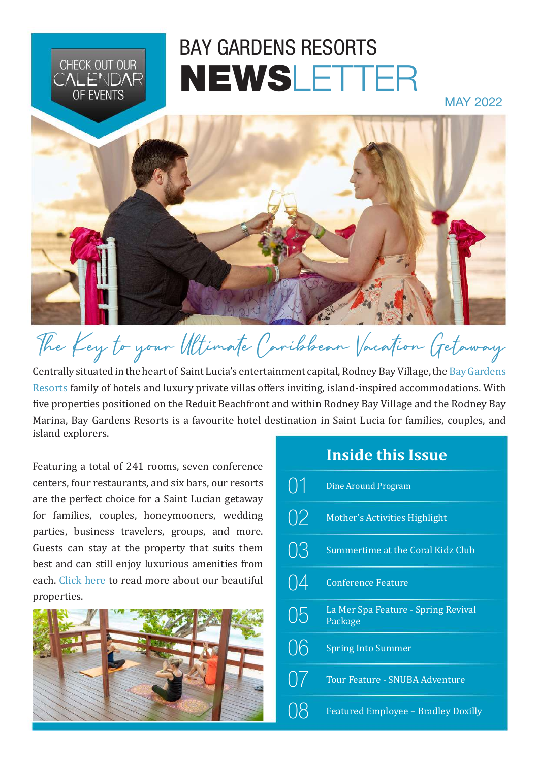# BAY GARDENS RESORTS NEWSLETTER

MAY 2022



# The Key to your Ultimate Caribbean Vacation Getaway

Centrally situated in the heart of Saint Lucia's entertainment capital, Rodney Bay Village, the [Bay Gardens](https://www.baygardensresorts.com/)  [Resorts](https://www.baygardensresorts.com/) family of hotels and luxury private villas offers inviting, island-inspired accommodations. With five properties positioned on the Reduit Beachfront and within Rodney Bay Village and the Rodney Bay Marina, Bay Gardens Resorts is a favourite hotel destination in Saint Lucia for families, couples, and island explorers.

Featuring a total of 241 rooms, seven conference centers, four restaurants, and six bars, our resorts are the perfect choice for a Saint Lucian getaway for families, couples, honeymooners, wedding parties, business travelers, groups, and more. Guests can stay at the property that suits them best and can still enjoy luxurious amenities from each. [Click here](https://www.baygardensresorts.com/) to read more about our beautiful properties.

CHECK OUT OUR **ALFNDAR OF EVENTS** 



## **Inside this Issue**

|           | <b>Dine Around Program</b>                     |
|-----------|------------------------------------------------|
| 02        | <b>Mother's Activities Highlight</b>           |
| 03        | Summertime at the Coral Kidz Club              |
| 04        | <b>Conference Feature</b>                      |
| 05        | La Mer Spa Feature - Spring Revival<br>Package |
| 06        | <b>Spring Into Summer</b>                      |
| $\bigcup$ | <b>Tour Feature - SNUBA Adventure</b>          |
|           | <b>Featured Employee - Bradley Doxilly</b>     |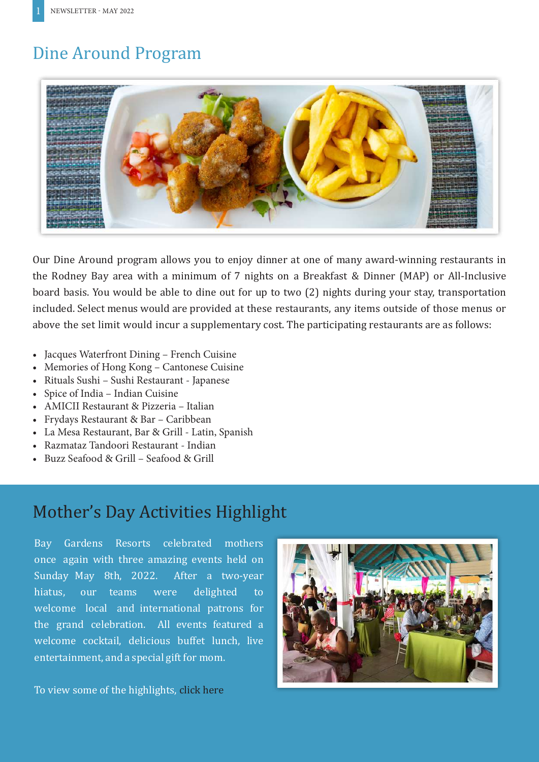# <span id="page-1-0"></span>Dine Around Program



Our Dine Around program allows you to enjoy dinner at one of many award-winning restaurants in the Rodney Bay area with a minimum of 7 nights on a Breakfast & Dinner (MAP) or All-Inclusive board basis. You would be able to dine out for up to two (2) nights during your stay, transportation included. Select menus would are provided at these restaurants, any items outside of those menus or above the set limit would incur a supplementary cost. The participating restaurants are as follows:

- Jacques Waterfront Dining French Cuisine
- Memories of Hong Kong Cantonese Cuisine
- Rituals Sushi Sushi Restaurant Japanese
- Spice of India Indian Cuisine
- AMICII Restaurant & Pizzeria Italian
- Frydays Restaurant & Bar Caribbean
- La Mesa Restaurant, Bar & Grill Latin, Spanish
- Razmataz Tandoori Restaurant Indian
- Buzz Seafood & Grill Seafood & Grill

## Mother's Day Activities Highlight

Bay Gardens Resorts celebrated mothers once again with three amazing events held on Sunday May 8th, 2022. After a two-year hiatus, our teams were delighted to welcome local and international patrons for the grand celebration. All events featured a welcome cocktail, delicious buffet lunch, live entertainment, and a special gift for mom.

To view some of the highlights, [click here](https://www.tiktok.com/@baygardensresorts/video/7095860184735583494?_t=8Sc7kjOZxHq&_r=1)

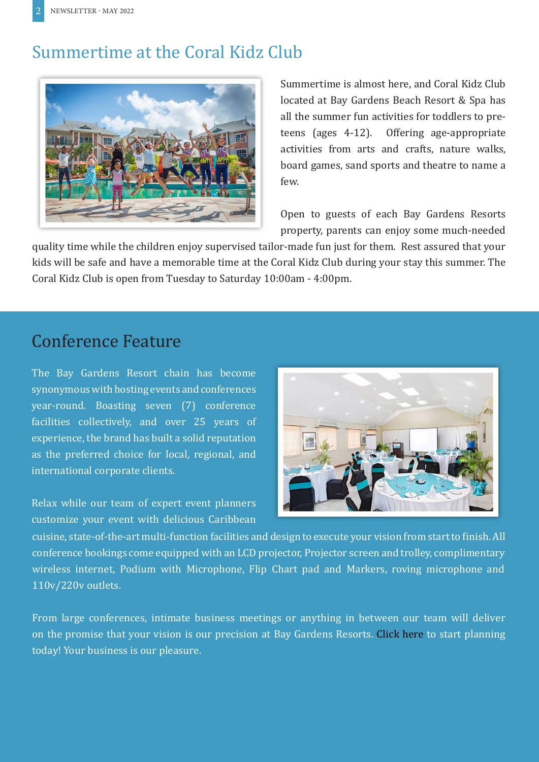# <span id="page-2-0"></span>Summertime at the Coral Kidz Club



Summertime is almost here, and Coral Kidz Club located at Bay Gardens Beach Resort & Spa has all the summer fun activities for toddlers to preteens (ages 4-12). Offering age-appropriate activities from arts and crafts, nature walks, board games, sand sports and theatre to name a few.

Open to guests of each Bay Gardens Resorts property, parents can enjoy some much-needed

quality time while the children enjoy supervised tailor-made fun just for them. Rest assured that your kids will be safe and have a memorable time at the Coral Kidz Club during your stay this summer. The Coral Kidz Club is open from Tuesday to Saturday 10:00am - 4:00pm.

### Conference Feature

The Bay Gardens Resort chain has become synonymous with hosting events and conferences year-round. Boasting seven (7) conference facilities collectively, and over 25 years of experience, the brand has built a solid reputation as the preferred choice for local, regional, and international corporate clients.

Relax while our team of expert event planners customize your event with delicious Caribbean



cuisine, state-of-the-art multi-function facilities and design to execute your vision from start to finish. All conference bookings come equipped with an LCD projector, Projector screen and trolley, complimentary wireless internet, Podium with Microphone, Flip Chart pad and Markers, roving microphone and 110v/220v outlets.

From large conferences, intimate business meetings or anything in between our team will deliver on the promise that your vision is our precision at Bay Gardens Resorts. [Click here](https://www.baygardensresorts.com/meetings-events) to start planning today! Your business is our pleasure.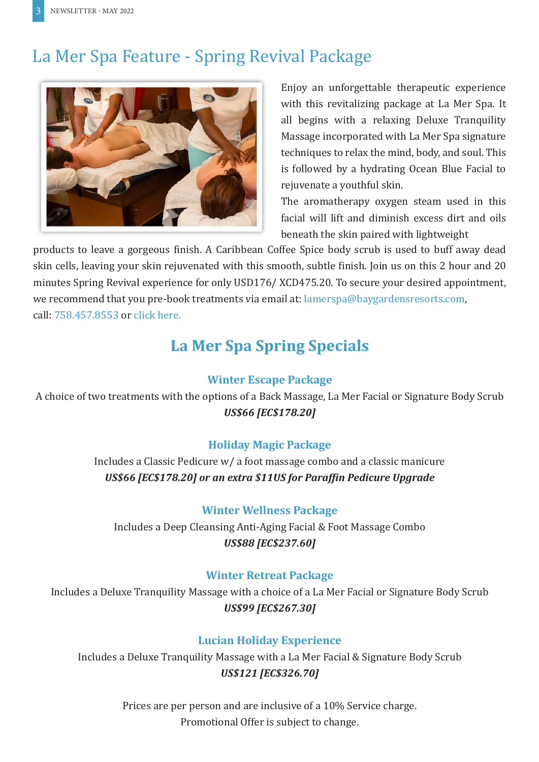# <span id="page-3-0"></span>La Mer Spa Feature - Spring Revival Package



Enjoy an unforgettable therapeutic experience with this revitalizing package at La Mer Spa. It all begins with a relaxing Deluxe Tranquility Massage incorporated with La Mer Spa signature techniques to relax the mind, body, and soul. This is followed by a hydrating Ocean Blue Facial to rejuvenate a youthful skin.

The aromatherapy oxygen steam used in this facial will lift and diminish excess dirt and oils beneath the skin paired with lightweight

products to leave a gorgeous finish. A Caribbean Coffee Spice body scrub is used to buff away dead skin cells, leaving your skin rejuvenated with this smooth, subtle finish. Join us on this 2 hour and 20 minutes Spring Revival experience for only USD176/ XCD475.20. To secure your desired appointment, we recommend that you pre-book treatments via email at: lamerspa@baygardensresorts.com, call: 758.457.8553 or [click here](https://www.baygardensresorts.com/beach-resort/spaandwellness/la-mer-spa).

# **La Mer Spa Spring Specials**

### **Winter Escape Package**

A choice of two treatments with the options of a Back Massage, La Mer Facial or Signature Body Scrub *US\$66 [EC\$178.20]*

### **Holiday Magic Package**

Includes a Classic Pedicure w/ a foot massage combo and a classic manicure *US\$66 [EC\$178.20] or an extra \$11US for Paraffin Pedicure Upgrade*

### **Winter Wellness Package**

Includes a Deep Cleansing Anti-Aging Facial & Foot Massage Combo *US\$88 [EC\$237.60]*

### **Winter Retreat Package**

Includes a Deluxe Tranquility Massage with a choice of a La Mer Facial or Signature Body Scrub *US\$99 [EC\$267.30]*

### **Lucian Holiday Experience**

Includes a Deluxe Tranquility Massage with a La Mer Facial & Signature Body Scrub *US\$121 [EC\$326.70]*

> Prices are per person and are inclusive of a 10% Service charge. Promotional Offer is subject to change.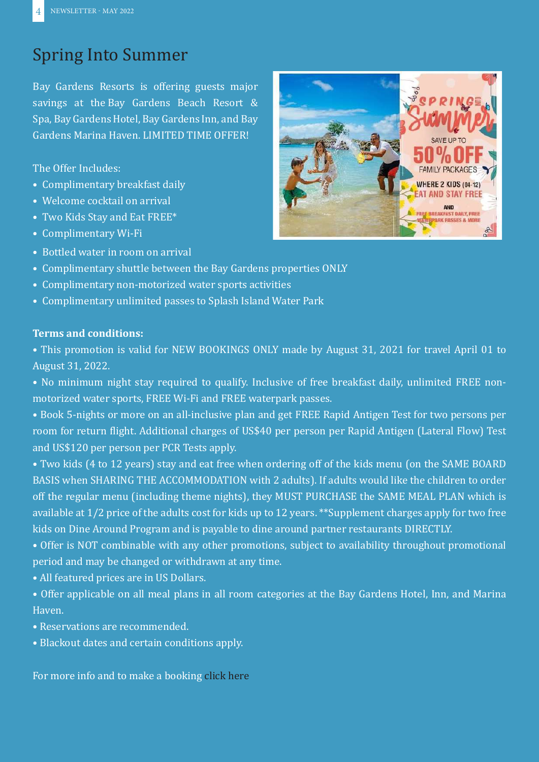# <span id="page-4-0"></span>Spring Into Summer

Bay Gardens Resorts is offering guests major savings at the Bay Gardens Beach Resort & Spa, Bay Gardens Hotel, Bay Gardens Inn, and Bay Gardens Marina Haven. LIMITED TIME OFFER!

The Offer Includes:

- Complimentary breakfast daily
- Welcome cocktail on arrival
- Two Kids Stay and Eat FREE\*
- Complimentary Wi-Fi
- Bottled water in room on arrival
- Complimentary shuttle between the Bay Gardens properties ONLY
- Complimentary non-motorized water sports activities
- Complimentary unlimited passes to Splash Island Water Park

### **Terms and conditions:**

• This promotion is valid for NEW BOOKINGS ONLY made by August 31, 2021 for travel April 01 to August 31, 2022.

- No minimum night stay required to qualify. Inclusive of free breakfast daily, unlimited FREE nonmotorized water sports, FREE Wi-Fi and FREE waterpark passes.
- Book 5-nights or more on an all-inclusive plan and get FREE Rapid Antigen Test for two persons per room for return flight. Additional charges of US\$40 per person per Rapid Antigen (Lateral Flow) Test and US\$120 per person per PCR Tests apply.
- Two kids (4 to 12 years) stay and eat free when ordering off of the kids menu (on the SAME BOARD BASIS when SHARING THE ACCOMMODATION with 2 adults). If adults would like the children to order off the regular menu (including theme nights), they MUST PURCHASE the SAME MEAL PLAN which is available at 1/2 price of the adults cost for kids up to 12 years. \*\*Supplement charges apply for two free kids on Dine Around Program and is payable to dine around partner restaurants DIRECTLY.
- Offer is NOT combinable with any other promotions, subject to availability throughout promotional period and may be changed or withdrawn at any time.
- All featured prices are in US Dollars.
- Offer applicable on all meal plans in all room categories at the Bay Gardens Hotel, Inn, and Marina Haven.
- Reservations are recommended.
- Blackout dates and certain conditions apply.

For more info and to make a booking [click here](https://www.baygardensresorts.com/specials/Spring-into-summer)

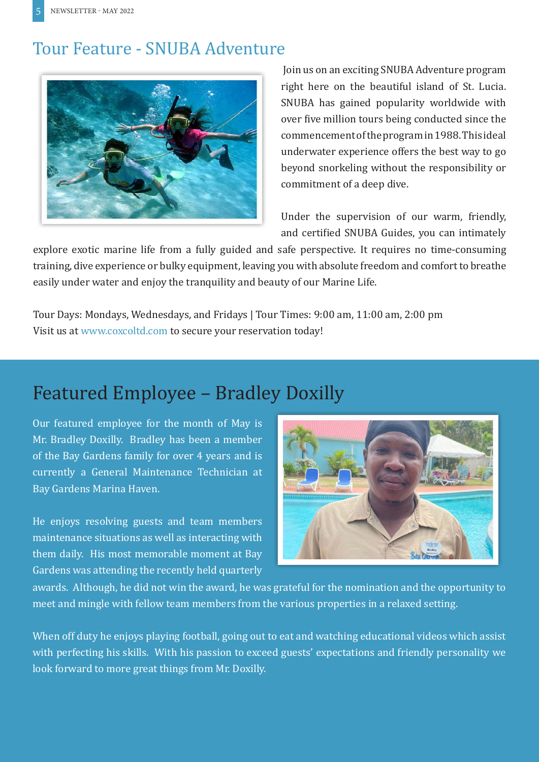## <span id="page-5-0"></span>Tour Feature - SNUBA Adventure



 Join us on an exciting SNUBA Adventure program right here on the beautiful island of St. Lucia. SNUBA has gained popularity worldwide with over five million tours being conducted since the commencement of the program in 1988. This ideal underwater experience offers the best way to go beyond snorkeling without the responsibility or commitment of a deep dive.

Under the supervision of our warm, friendly, and certified SNUBA Guides, you can intimately

explore exotic marine life from a fully guided and safe perspective. It requires no time-consuming training, dive experience or bulky equipment, leaving you with absolute freedom and comfort to breathe easily under water and enjoy the tranquility and beauty of our Marine Life.

Tour Days: Mondays, Wednesdays, and Fridays | Tour Times: 9:00 am, 11:00 am, 2:00 pm Visit us at [www.coxcoltd.com](https://coxcoltd.com/tours/tours-list/snuba-adventure/) to secure your reservation today!

# Featured Employee – Bradley Doxilly

Our featured employee for the month of May is Mr. Bradley Doxilly. Bradley has been a member of the Bay Gardens family for over 4 years and is currently a General Maintenance Technician at Bay Gardens Marina Haven.

He enjoys resolving guests and team members maintenance situations as well as interacting with them daily. His most memorable moment at Bay Gardens was attending the recently held quarterly



awards. Although, he did not win the award, he was grateful for the nomination and the opportunity to meet and mingle with fellow team members from the various properties in a relaxed setting.

When off duty he enjoys playing football, going out to eat and watching educational videos which assist with perfecting his skills. With his passion to exceed guests' expectations and friendly personality we look forward to more great things from Mr. Doxilly.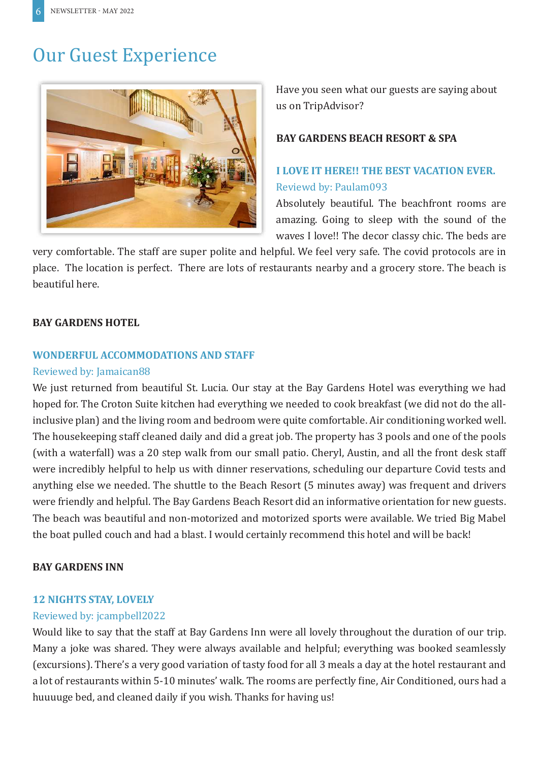# Our Guest Experience



Have you seen what our guests are saying about us on TripAdvisor?

### **BAY GARDENS BEACH RESORT & SPA**

### **I LOVE IT HERE!! THE BEST VACATION EVER.** Reviewd by: Paulam093

Absolutely beautiful. The beachfront rooms are amazing. Going to sleep with the sound of the waves I love!! The decor classy chic. The beds are

very comfortable. The staff are super polite and helpful. We feel very safe. The covid protocols are in place. The location is perfect. There are lots of restaurants nearby and a grocery store. The beach is beautiful here.

### **BAY GARDENS HOTEL**

### **WONDERFUL ACCOMMODATIONS AND STAFF**

### Reviewed by: Jamaican88

We just returned from beautiful St. Lucia. Our stay at the Bay Gardens Hotel was everything we had hoped for. The Croton Suite kitchen had everything we needed to cook breakfast (we did not do the allinclusive plan) and the living room and bedroom were quite comfortable. Air conditioning worked well. The housekeeping staff cleaned daily and did a great job. The property has 3 pools and one of the pools (with a waterfall) was a 20 step walk from our small patio. Cheryl, Austin, and all the front desk staff were incredibly helpful to help us with dinner reservations, scheduling our departure Covid tests and anything else we needed. The shuttle to the Beach Resort (5 minutes away) was frequent and drivers were friendly and helpful. The Bay Gardens Beach Resort did an informative orientation for new guests. The beach was beautiful and non-motorized and motorized sports were available. We tried Big Mabel the boat pulled couch and had a blast. I would certainly recommend this hotel and will be back!

### **BAY GARDENS INN**

#### **12 NIGHTS STAY, LOVELY**

### Reviewed by: jcampbell2022

Would like to say that the staff at Bay Gardens Inn were all lovely throughout the duration of our trip. Many a joke was shared. They were always available and helpful; everything was booked seamlessly (excursions). There's a very good variation of tasty food for all 3 meals a day at the hotel restaurant and a lot of restaurants within 5-10 minutes' walk. The rooms are perfectly fine, Air Conditioned, ours had a huuuuge bed, and cleaned daily if you wish. Thanks for having us!